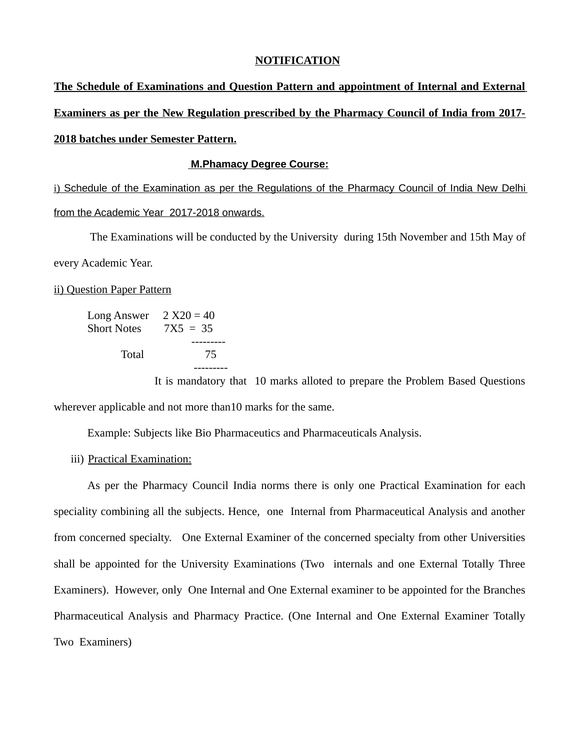#### **NOTIFICATION**

**The Schedule of Examinations and Question Pattern and appointment of Internal and External Examiners as per the New Regulation prescribed by the Pharmacy Council of India from 2017- 2018 batches under Semester Pattern.**

#### **M.Phamacy Degree Course:**

 i) Schedule of the Examination as per the Regulations of the Pharmacy Council of India New Delhi from the Academic Year 2017-2018 onwards.

 The Examinations will be conducted by the University during 15th November and 15th May of every Academic Year.

ii) Question Paper Pattern

| Long Answer        | $2 X20 = 40$ |
|--------------------|--------------|
| <b>Short Notes</b> | $7X5 = 35$   |
|                    |              |
| Total              | 75           |
|                    |              |

It is mandatory that 10 marks alloted to prepare the Problem Based Questions wherever applicable and not more than10 marks for the same.

Example: Subjects like Bio Pharmaceutics and Pharmaceuticals Analysis.

iii) Practical Examination:

As per the Pharmacy Council India norms there is only one Practical Examination for each speciality combining all the subjects. Hence, one Internal from Pharmaceutical Analysis and another from concerned specialty. One External Examiner of the concerned specialty from other Universities shall be appointed for the University Examinations (Two internals and one External Totally Three Examiners). However, only One Internal and One External examiner to be appointed for the Branches Pharmaceutical Analysis and Pharmacy Practice. (One Internal and One External Examiner Totally Two Examiners)